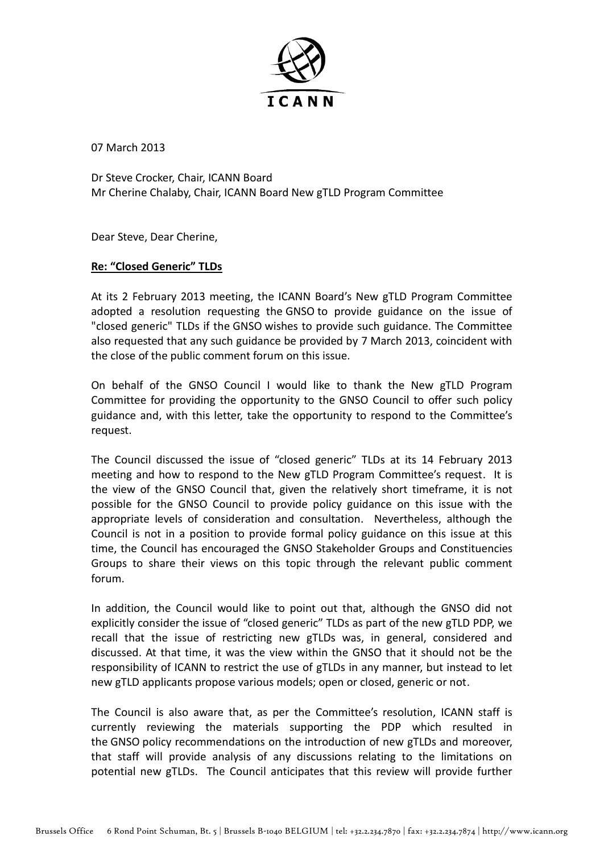

07 March 2013

Dr Steve Crocker, Chair, ICANN Board Mr Cherine Chalaby, Chair, ICANN Board New gTLD Program Committee

Dear Steve, Dear Cherine,

## **Re: "Closed Generic" TLDs**

At its 2 February 2013 meeting, the ICANN Board's New gTLD Program Committee adopted a resolution requesting the GNSO to provide guidance on the issue of "closed generic" TLDs if the GNSO wishes to provide such guidance. The Committee also requested that any such guidance be provided by 7 March 2013, coincident with the close of the public comment forum on this issue.

On behalf of the GNSO Council I would like to thank the New gTLD Program Committee for providing the opportunity to the GNSO Council to offer such policy guidance and, with this letter, take the opportunity to respond to the Committee's request.

The Council discussed the issue of "closed generic" TLDs at its 14 February 2013 meeting and how to respond to the New gTLD Program Committee's request. It is the view of the GNSO Council that, given the relatively short timeframe, it is not possible for the GNSO Council to provide policy guidance on this issue with the appropriate levels of consideration and consultation. Nevertheless, although the Council is not in a position to provide formal policy guidance on this issue at this time, the Council has encouraged the GNSO Stakeholder Groups and Constituencies Groups to share their views on this topic through the relevant public comment forum.

In addition, the Council would like to point out that, although the GNSO did not explicitly consider the issue of "closed generic" TLDs as part of the new gTLD PDP, we recall that the issue of restricting new gTLDs was, in general, considered and discussed. At that time, it was the view within the GNSO that it should not be the responsibility of ICANN to restrict the use of gTLDs in any manner, but instead to let new gTLD applicants propose various models; open or closed, generic or not.

The Council is also aware that, as per the Committee's resolution, ICANN staff is currently reviewing the materials supporting the PDP which resulted in the GNSO policy recommendations on the introduction of new gTLDs and moreover, that staff will provide analysis of any discussions relating to the limitations on potential new gTLDs. The Council anticipates that this review will provide further